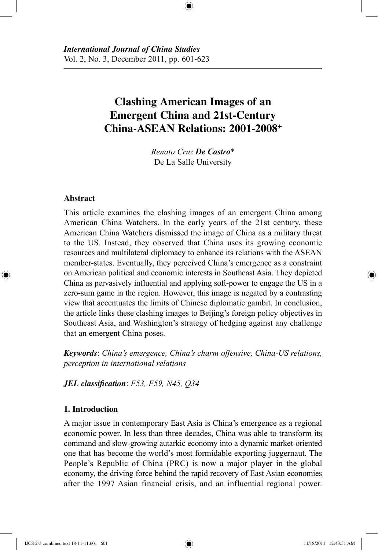# **Clashing American Images of an Emergent China and 21st-Century China-ASEAN Relations: 2001-2008+**

⊕

*Renato Cruz De Castro*\* De La Salle University

# **Abstract**

⊕

This article examines the clashing images of an emergent China among American China Watchers. In the early years of the 21st century, these American China Watchers dismissed the image of China as a military threat to the US. Instead, they observed that China uses its growing economic resources and multilateral diplomacy to enhance its relations with the ASEAN member-states. Eventually, they perceived China's emergence as a constraint on American political and economic interests in Southeast Asia. They depicted China as pervasively influential and applying soft-power to engage the US in a zero-sum game in the region. However, this image is negated by a contrasting view that accentuates the limits of Chinese diplomatic gambit. In conclusion, the article links these clashing images to Beijing's foreign policy objectives in Southeast Asia, and Washington's strategy of hedging against any challenge that an emergent China poses.

*Keywords*: *China's emergence, China's charm offensive, China-US relations, perception in international relations*

*JEL classification*: *F53, F59, N45, Q34*

#### **1. Introduction**

A major issue in contemporary East Asia is China's emergence as a regional economic power. In less than three decades, China was able to transform its command and slow-growing autarkic economy into a dynamic market-oriented one that has become the world's most formidable exporting juggernaut. The People's Republic of China (PRC) is now a major player in the global economy, the driving force behind the rapid recovery of East Asian economies after the 1997 Asian financial crisis, and an influential regional power.

IJCS 2-3 combined text 18-11-11.601 601 11/18/2011 12:43:51 AM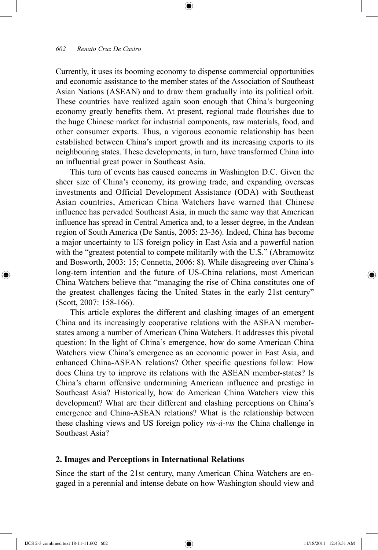Currently, it uses its booming economy to dispense commercial opportunities and economic assistance to the member states of the Association of Southeast Asian Nations (ASEAN) and to draw them gradually into its political orbit. These countries have realized again soon enough that China's burgeoning economy greatly benefits them. At present, regional trade flourishes due to the huge Chinese market for industrial components, raw materials, food, and other consumer exports. Thus, a vigorous economic relationship has been established between China's import growth and its increasing exports to its neighbouring states. These developments, in turn, have transformed China into an influential great power in Southeast Asia.

⊕

This turn of events has caused concerns in Washington D.C. Given the sheer size of China's economy, its growing trade, and expanding overseas investments and Official Development Assistance (ODA) with Southeast Asian countries, American China Watchers have warned that Chinese influence has pervaded Southeast Asia, in much the same way that American influence has spread in Central America and, to a lesser degree, in the Andean region of South America (De Santis, 2005: 23-36). Indeed, China has become a major uncertainty to US foreign policy in East Asia and a powerful nation with the "greatest potential to compete militarily with the U.S." (Abramowitz and Bosworth, 2003: 15; Connetta, 2006: 8). While disagreeing over China's long-tern intention and the future of US-China relations, most American China Watchers believe that "managing the rise of China constitutes one of the greatest challenges facing the United States in the early 21st century" (Scott, 2007: 158-166).

This article explores the different and clashing images of an emergent China and its increasingly cooperative relations with the ASEAN memberstates among a number of American China Watchers. It addresses this pivotal question: In the light of China's emergence, how do some American China Watchers view China's emergence as an economic power in East Asia, and enhanced China-ASEAN relations? Other specific questions follow: How does China try to improve its relations with the ASEAN member-states? Is China's charm offensive undermining American influence and prestige in Southeast Asia? Historically, how do American China Watchers view this development? What are their different and clashing perceptions on China's emergence and China-ASEAN relations? What is the relationship between these clashing views and US foreign policy *vis-à-vis* the China challenge in Southeast Asia?

## **2. Images and Perceptions in International Relations**

Since the start of the 21st century, many American China Watchers are engaged in a perennial and intense debate on how Washington should view and

⊕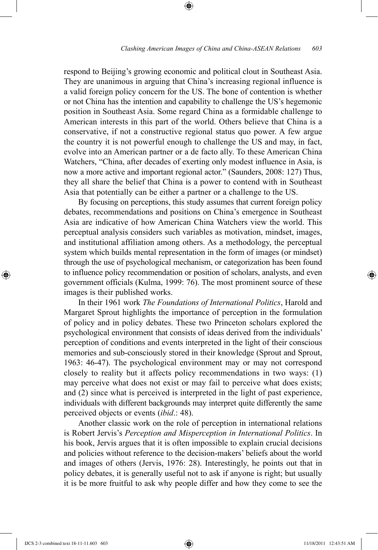respond to Beijing's growing economic and political clout in Southeast Asia. They are unanimous in arguing that China's increasing regional influence is a valid foreign policy concern for the US. The bone of contention is whether or not China has the intention and capability to challenge the US's hegemonic position in Southeast Asia. Some regard China as a formidable challenge to American interests in this part of the world. Others believe that China is a conservative, if not a constructive regional status quo power. A few argue the country it is not powerful enough to challenge the US and may, in fact, evolve into an American partner or a de facto ally. To these American China Watchers, "China, after decades of exerting only modest influence in Asia, is now a more active and important regional actor." (Saunders, 2008: 127) Thus, they all share the belief that China is a power to contend with in Southeast Asia that potentially can be either a partner or a challenge to the US.

⊕

By focusing on perceptions, this study assumes that current foreign policy debates, recommendations and positions on China's emergence in Southeast Asia are indicative of how American China Watchers view the world. This perceptual analysis considers such variables as motivation, mindset, images, and institutional affiliation among others. As a methodology, the perceptual system which builds mental representation in the form of images (or mindset) through the use of psychological mechanism, or categorization has been found to influence policy recommendation or position of scholars, analysts, and even government officials (Kulma, 1999: 76). The most prominent source of these images is their published works.

In their 1961 work *The Foundations of International Politics*, Harold and Margaret Sprout highlights the importance of perception in the formulation of policy and in policy debates. These two Princeton scholars explored the psychological environment that consists of ideas derived from the individuals' perception of conditions and events interpreted in the light of their conscious memories and sub-consciously stored in their knowledge (Sprout and Sprout, 1963: 46-47). The psychological environment may or may not correspond closely to reality but it affects policy recommendations in two ways: (1) may perceive what does not exist or may fail to perceive what does exists; and (2) since what is perceived is interpreted in the light of past experience, individuals with different backgrounds may interpret quite differently the same perceived objects or events (*ibid*.: 48).

Another classic work on the role of perception in international relations is Robert Jervis's *Perception and Misperception in International Politics*. In his book, Jervis argues that it is often impossible to explain crucial decisions and policies without reference to the decision-makers' beliefs about the world and images of others (Jervis, 1976: 28). Interestingly, he points out that in policy debates, it is generally useful not to ask if anyone is right; but usually it is be more fruitful to ask why people differ and how they come to see the

⊕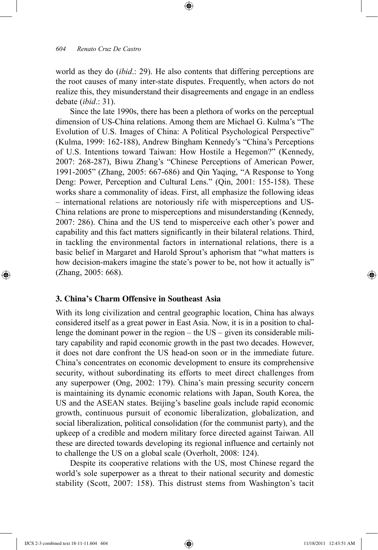world as they do (*ibid*.: 29). He also contents that differing perceptions are the root causes of many inter-state disputes. Frequently, when actors do not realize this, they misunderstand their disagreements and engage in an endless debate (*ibid*.: 31).

⊕

Since the late 1990s, there has been a plethora of works on the perceptual dimension of US-China relations. Among them are Michael G. Kulma's "The Evolution of U.S. Images of China: A Political Psychological Perspective" (Kulma, 1999: 162-188), Andrew Bingham Kennedy's "China's Perceptions of U.S. Intentions toward Taiwan: How Hostile a Hegemon?" (Kennedy, 2007: 268-287), Biwu Zhang's "Chinese Perceptions of American Power, 1991-2005" (Zhang, 2005: 667-686) and Qin Yaqing, "A Response to Yong Deng: Power, Perception and Cultural Lens." (Qin, 2001: 155-158). These works share a commonality of ideas. First, all emphasize the following ideas – international relations are notoriously rife with misperceptions and US-China relations are prone to misperceptions and misunderstanding (Kennedy, 2007: 286). China and the US tend to misperceive each other's power and capability and this fact matters significantly in their bilateral relations. Third, in tackling the environmental factors in international relations, there is a basic belief in Margaret and Harold Sprout's aphorism that "what matters is how decision-makers imagine the state's power to be, not how it actually is" (Zhang, 2005: 668).

# **3. China's Charm Offensive in Southeast Asia**

With its long civilization and central geographic location, China has always considered itself as a great power in East Asia. Now, it is in a position to challenge the dominant power in the region – the US – given its considerable military capability and rapid economic growth in the past two decades. However, it does not dare confront the US head-on soon or in the immediate future. China's concentrates on economic development to ensure its comprehensive security, without subordinating its efforts to meet direct challenges from any superpower (Ong, 2002: 179). China's main pressing security concern is maintaining its dynamic economic relations with Japan, South Korea, the US and the ASEAN states. Beijing's baseline goals include rapid economic growth, continuous pursuit of economic liberalization, globalization, and social liberalization, political consolidation (for the communist party), and the upkeep of a credible and modern military force directed against Taiwan. All these are directed towards developing its regional influence and certainly not to challenge the US on a global scale (Overholt, 2008: 124).

Despite its cooperative relations with the US, most Chinese regard the world's sole superpower as a threat to their national security and domestic stability (Scott, 2007: 158). This distrust stems from Washington's tacit

IJCS 2-3 combined text 18-11-11.604 604 11/18/2011 12:43:51 AM

⊕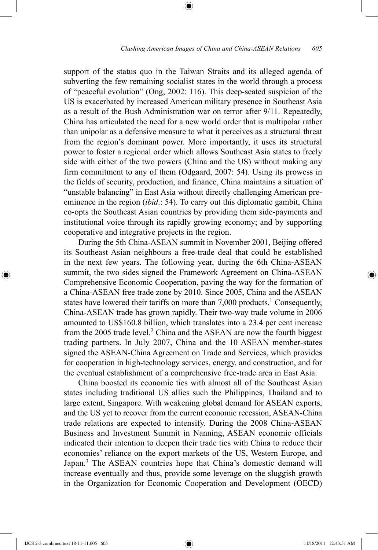support of the status quo in the Taiwan Straits and its alleged agenda of subverting the few remaining socialist states in the world through a process of "peaceful evolution" (Ong, 2002: 116). This deep-seated suspicion of the US is exacerbated by increased American military presence in Southeast Asia as a result of the Bush Administration war on terror after 9/11. Repeatedly, China has articulated the need for a new world order that is multipolar rather than unipolar as a defensive measure to what it perceives as a structural threat from the region's dominant power. More importantly, it uses its structural power to foster a regional order which allows Southeast Asia states to freely side with either of the two powers (China and the US) without making any firm commitment to any of them (Odgaard, 2007: 54). Using its prowess in the fields of security, production, and finance, China maintains a situation of "unstable balancing" in East Asia without directly challenging American preeminence in the region (*ibid*.: 54). To carry out this diplomatic gambit, China co-opts the Southeast Asian countries by providing them side-payments and institutional voice through its rapidly growing economy; and by supporting cooperative and integrative projects in the region.

⊕

During the 5th China-ASEAN summit in November 2001, Beijing offered its Southeast Asian neighbours a free-trade deal that could be established in the next few years. The following year, during the 6th China-ASEAN summit, the two sides signed the Framework Agreement on China-ASEAN Comprehensive Economic Cooperation, paving the way for the formation of a China-ASEAN free trade zone by 2010. Since 2005, China and the ASEAN states have lowered their tariffs on more than  $7,000$  products.<sup>1</sup> Consequently, China-ASEAN trade has grown rapidly. Their two-way trade volume in 2006 amounted to US\$160.8 billion, which translates into a 23.4 per cent increase from the 2005 trade level.<sup>2</sup> China and the ASEAN are now the fourth biggest trading partners. In July 2007, China and the 10 ASEAN member-states signed the ASEAN-China Agreement on Trade and Services, which provides for cooperation in high-technology services, energy, and construction, and for the eventual establishment of a comprehensive free-trade area in East Asia.

China boosted its economic ties with almost all of the Southeast Asian states including traditional US allies such the Philippines, Thailand and to large extent, Singapore. With weakening global demand for ASEAN exports, and the US yet to recover from the current economic recession, ASEAN-China trade relations are expected to intensify. During the 2008 China-ASEAN Business and Investment Summit in Nanning, ASEAN economic officials indicated their intention to deepen their trade ties with China to reduce their economies' reliance on the export markets of the US, Western Europe, and Japan.<sup>3</sup> The ASEAN countries hope that China's domestic demand will increase eventually and thus, provide some leverage on the sluggish growth in the Organization for Economic Cooperation and Development (OECD)

⊕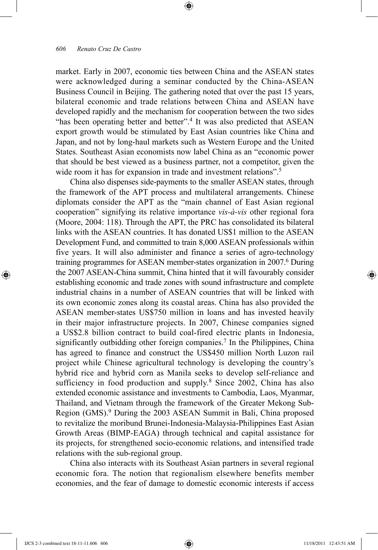market. Early in 2007, economic ties between China and the ASEAN states were acknowledged during a seminar conducted by the China-ASEAN Business Council in Beijing. The gathering noted that over the past 15 years, bilateral economic and trade relations between China and ASEAN have developed rapidly and the mechanism for cooperation between the two sides "has been operating better and better".<sup>4</sup> It was also predicted that ASEAN export growth would be stimulated by East Asian countries like China and Japan, and not by long-haul markets such as Western Europe and the United States. Southeast Asian economists now label China as an "economic power that should be best viewed as a business partner, not a competitor, given the wide room it has for expansion in trade and investment relations".<sup>5</sup>

⊕

China also dispenses side-payments to the smaller ASEAN states, through the framework of the APT process and multilateral arrangements. Chinese diplomats consider the APT as the "main channel of East Asian regional cooperation" signifying its relative importance *vis-à-vis* other regional fora (Moore, 2004: 118). Through the APT, the PRC has consolidated its bilateral links with the ASEAN countries. It has donated US\$1 million to the ASEAN Development Fund, and committed to train 8,000 ASEAN professionals within five years. It will also administer and finance a series of agro-technology training programmes for ASEAN member-states organization in 2007.<sup>6</sup> During the 2007 ASEAN-China summit, China hinted that it will favourably consider establishing economic and trade zones with sound infrastructure and complete industrial chains in a number of ASEAN countries that will be linked with its own economic zones along its coastal areas. China has also provided the ASEAN member-states US\$750 million in loans and has invested heavily in their major infrastructure projects. In 2007, Chinese companies signed a US\$2.8 billion contract to build coal-fired electric plants in Indonesia, significantly outbidding other foreign companies.<sup>7</sup> In the Philippines, China has agreed to finance and construct the US\$450 million North Luzon rail project while Chinese agricultural technology is developing the country's hybrid rice and hybrid corn as Manila seeks to develop self-reliance and sufficiency in food production and supply. $8$  Since 2002, China has also extended economic assistance and investments to Cambodia, Laos, Myanmar, Thailand, and Vietnam through the framework of the Greater Mekong Sub-Region (GMS).<sup>9</sup> During the 2003 ASEAN Summit in Bali, China proposed to revitalize the moribund Brunei-Indonesia-Malaysia-Philippines East Asian Growth Areas (BIMP-EAGA) through technical and capital assistance for its projects, for strengthened socio-economic relations, and intensified trade relations with the sub-regional group.

China also interacts with its Southeast Asian partners in several regional economic fora. The notion that regionalism elsewhere benefits member economies, and the fear of damage to domestic economic interests if access

⊕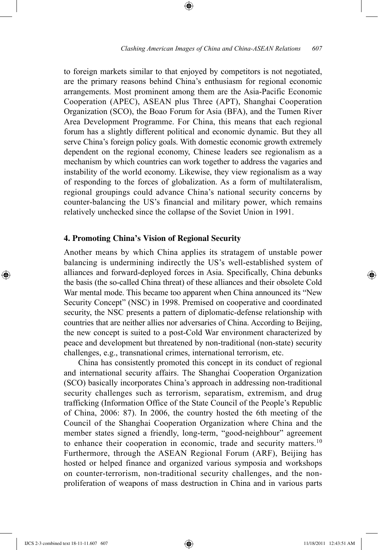to foreign markets similar to that enjoyed by competitors is not negotiated, are the primary reasons behind China's enthusiasm for regional economic arrangements. Most prominent among them are the Asia-Pacific Economic Cooperation (APEC), ASEAN plus Three (APT), Shanghai Cooperation Organization (SCO), the Boao Forum for Asia (BFA), and the Tumen River Area Development Programme. For China, this means that each regional forum has a slightly different political and economic dynamic. But they all serve China's foreign policy goals. With domestic economic growth extremely dependent on the regional economy, Chinese leaders see regionalism as a mechanism by which countries can work together to address the vagaries and instability of the world economy. Likewise, they view regionalism as a way of responding to the forces of globalization. As a form of multilateralism, regional groupings could advance China's national security concerns by counter-balancing the US's financial and military power, which remains relatively unchecked since the collapse of the Soviet Union in 1991.

⊕

#### **4. Promoting China's Vision of Regional Security**

Another means by which China applies its stratagem of unstable power balancing is undermining indirectly the US's well-established system of alliances and forward-deployed forces in Asia. Specifically, China debunks the basis (the so-called China threat) of these alliances and their obsolete Cold War mental mode. This became too apparent when China announced its "New Security Concept" (NSC) in 1998. Premised on cooperative and coordinated security, the NSC presents a pattern of diplomatic-defense relationship with countries that are neither allies nor adversaries of China. According to Beijing, the new concept is suited to a post-Cold War environment characterized by peace and development but threatened by non-traditional (non-state) security challenges, e.g., transnational crimes, international terrorism, etc.

China has consistently promoted this concept in its conduct of regional and international security affairs. The Shanghai Cooperation Organization (SCO) basically incorporates China's approach in addressing non-traditional security challenges such as terrorism, separatism, extremism, and drug trafficking (Information Office of the State Council of the People's Republic of China, 2006: 87). In 2006, the country hosted the 6th meeting of the Council of the Shanghai Cooperation Organization where China and the member states signed a friendly, long-term, "good-neighbour" agreement to enhance their cooperation in economic, trade and security matters.<sup>10</sup> Furthermore, through the ASEAN Regional Forum (ARF), Beijing has hosted or helped finance and organized various symposia and workshops on counter-terrorism, non-traditional security challenges, and the nonproliferation of weapons of mass destruction in China and in various parts

⊕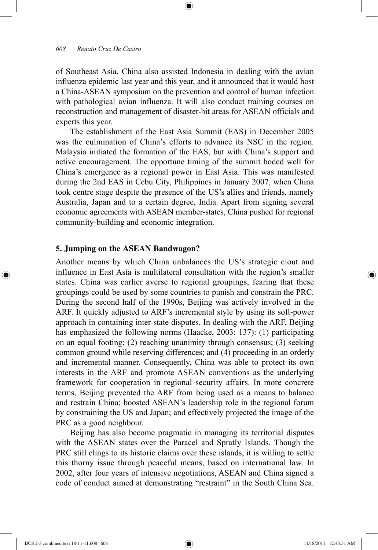of Southeast Asia. China also assisted Indonesia in dealing with the avian influenza epidemic last year and this year, and it announced that it would host a China-ASEAN symposium on the prevention and control of human infection with pathological avian influenza. It will also conduct training courses on reconstruction and management of disaster-hit areas for ASEAN officials and experts this year.

⊕

The establishment of the East Asia Summit (EAS) in December 2005 was the culmination of China's efforts to advance its NSC in the region. Malaysia initiated the formation of the EAS, but with China's support and active encouragement. The opportune timing of the summit boded well for China's emergence as a regional power in East Asia. This was manifested during the 2nd EAS in Cebu City, Philippines in January 2007, when China took centre stage despite the presence of the US's allies and friends, namely Australia, Japan and to a certain degree, India. Apart from signing several economic agreements with ASEAN member-states, China pushed for regional community-building and economic integration.

### **5. Jumping on the ASEAN Bandwagon?**

Another means by which China unbalances the US's strategic clout and influence in East Asia is multilateral consultation with the region's smaller states. China was earlier averse to regional groupings, fearing that these groupings could be used by some countries to punish and constrain the PRC. During the second half of the 1990s, Beijing was actively involved in the ARF. It quickly adjusted to ARF's incremental style by using its soft-power approach in containing inter-state disputes. In dealing with the ARF, Beijing has emphasized the following norms (Haacke, 2003: 137): (1) participating on an equal footing; (2) reaching unanimity through consensus; (3) seeking common ground while reserving differences; and (4) proceeding in an orderly and incremental manner. Consequently, China was able to protect its own interests in the ARF and promote ASEAN conventions as the underlying framework for cooperation in regional security affairs. In more concrete terms, Beijing prevented the ARF from being used as a means to balance and restrain China; boosted ASEAN's leadership role in the regional forum by constraining the US and Japan; and effectively projected the image of the PRC as a good neighbour.

Beijing has also become pragmatic in managing its territorial disputes with the ASEAN states over the Paracel and Spratly Islands. Though the PRC still clings to its historic claims over these islands, it is willing to settle this thorny issue through peaceful means, based on international law. In 2002, after four years of intensive negotiations, ASEAN and China signed a code of conduct aimed at demonstrating "restraint" in the South China Sea.

⊕

↔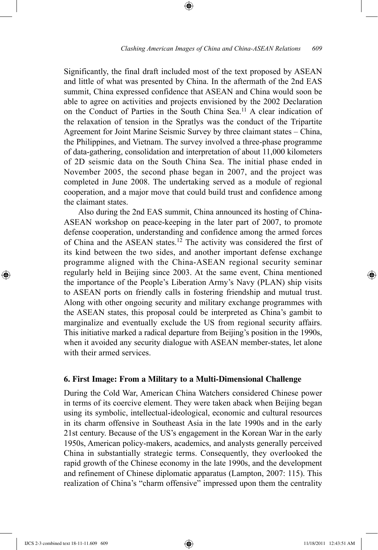Significantly, the final draft included most of the text proposed by ASEAN and little of what was presented by China. In the aftermath of the 2nd EAS summit, China expressed confidence that ASEAN and China would soon be able to agree on activities and projects envisioned by the 2002 Declaration on the Conduct of Parties in the South China Sea.<sup>11</sup> A clear indication of the relaxation of tension in the Spratlys was the conduct of the Tripartite Agreement for Joint Marine Seismic Survey by three claimant states – China, the Philippines, and Vietnam. The survey involved a three-phase programme of data-gathering, consolidation and interpretation of about 11,000 kilometers of 2D seismic data on the South China Sea. The initial phase ended in November 2005, the second phase began in 2007, and the project was completed in June 2008. The undertaking served as a module of regional cooperation, and a major move that could build trust and confidence among the claimant states.

⊕

Also during the 2nd EAS summit, China announced its hosting of China-ASEAN workshop on peace-keeping in the later part of 2007, to promote defense cooperation, understanding and confidence among the armed forces of China and the ASEAN states.12 The activity was considered the first of its kind between the two sides, and another important defense exchange programme aligned with the China-ASEAN regional security seminar regularly held in Beijing since 2003. At the same event, China mentioned the importance of the People's Liberation Army's Navy (PLAN) ship visits to ASEAN ports on friendly calls in fostering friendship and mutual trust. Along with other ongoing security and military exchange programmes with the ASEAN states, this proposal could be interpreted as China's gambit to marginalize and eventually exclude the US from regional security affairs. This initiative marked a radical departure from Beijing's position in the 1990s, when it avoided any security dialogue with ASEAN member-states, let alone with their armed services.

#### **6. First Image: From a Military to a Multi-Dimensional Challenge**

During the Cold War, American China Watchers considered Chinese power in terms of its coercive element. They were taken aback when Beijing began using its symbolic, intellectual-ideological, economic and cultural resources in its charm offensive in Southeast Asia in the late 1990s and in the early 21st century. Because of the US's engagement in the Korean War in the early 1950s, American policy-makers, academics, and analysts generally perceived China in substantially strategic terms. Consequently, they overlooked the rapid growth of the Chinese economy in the late 1990s, and the development and refinement of Chinese diplomatic apparatus (Lampton, 2007: 115). This realization of China's "charm offensive" impressed upon them the centrality

IJCS 2-3 combined text 18-11-11.609 609 11/18/2011 12:43:51 AM

⊕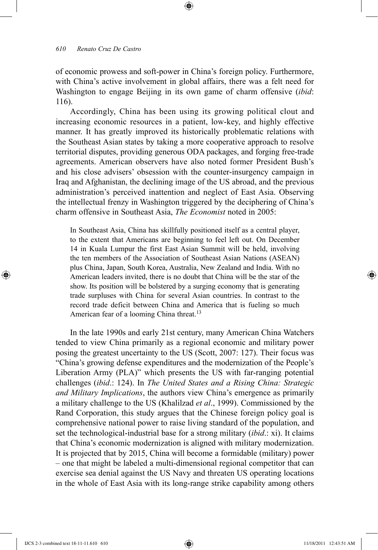of economic prowess and soft-power in China's foreign policy. Furthermore, with China's active involvement in global affairs, there was a felt need for Washington to engage Beijing in its own game of charm offensive (*ibid*: 116).

⊕

Accordingly, China has been using its growing political clout and increasing economic resources in a patient, low-key, and highly effective manner. It has greatly improved its historically problematic relations with the Southeast Asian states by taking a more cooperative approach to resolve territorial disputes, providing generous ODA packages, and forging free-trade agreements. American observers have also noted former President Bush's and his close advisers' obsession with the counter-insurgency campaign in Iraq and Afghanistan, the declining image of the US abroad, and the previous administration's perceived inattention and neglect of East Asia. Observing the intellectual frenzy in Washington triggered by the deciphering of China's charm offensive in Southeast Asia, *The Economist* noted in 2005:

In Southeast Asia, China has skillfully positioned itself as a central player, to the extent that Americans are beginning to feel left out. On December 14 in Kuala Lumpur the first East Asian Summit will be held, involving the ten members of the Association of Southeast Asian Nations (ASEAN) plus China, Japan, South Korea, Australia, New Zealand and India. With no American leaders invited, there is no doubt that China will be the star of the show. Its position will be bolstered by a surging economy that is generating trade surpluses with China for several Asian countries. In contrast to the record trade deficit between China and America that is fueling so much American fear of a looming China threat.<sup>13</sup>

In the late 1990s and early 21st century, many American China Watchers tended to view China primarily as a regional economic and military power posing the greatest uncertainty to the US (Scott, 2007: 127). Their focus was "China's growing defense expenditures and the modernization of the People's Liberation Army (PLA)" which presents the US with far-ranging potential challenges (*ibid*.: 124). In *The United States and a Rising China: Strategic and Military Implications*, the authors view China's emergence as primarily a military challenge to the US (Khalilzad *et al*., 1999). Commissioned by the Rand Corporation, this study argues that the Chinese foreign policy goal is comprehensive national power to raise living standard of the population, and set the technological-industrial base for a strong military (*ibid*.: xi). It claims that China's economic modernization is aligned with military modernization. It is projected that by 2015, China will become a formidable (military) power – one that might be labeled a multi-dimensional regional competitor that can exercise sea denial against the US Navy and threaten US operating locations in the whole of East Asia with its long-range strike capability among others

⊕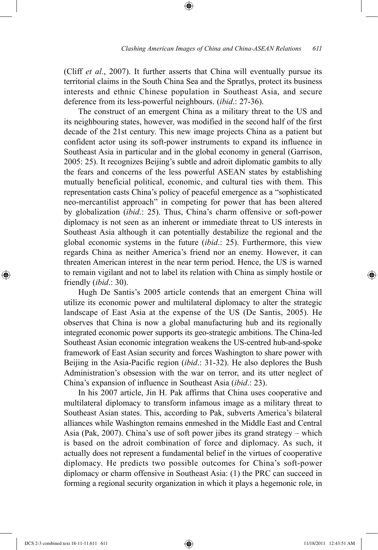(Cliff *et al*., 2007). It further asserts that China will eventually pursue its territorial claims in the South China Sea and the Spratlys, protect its business interests and ethnic Chinese population in Southeast Asia, and secure deference from its less-powerful neighbours. (*ibid*.: 27-36).

⊕

The construct of an emergent China as a military threat to the US and its neighbouring states, however, was modified in the second half of the first decade of the 21st century. This new image projects China as a patient but confident actor using its soft-power instruments to expand its influence in Southeast Asia in particular and in the global economy in general (Garrison, 2005: 25). It recognizes Beijing's subtle and adroit diplomatic gambits to ally the fears and concerns of the less powerful ASEAN states by establishing mutually beneficial political, economic, and cultural ties with them. This representation casts China's policy of peaceful emergence as a "sophisticated neo-mercantilist approach" in competing for power that has been altered by globalization (*ibid*.: 25). Thus, China's charm offensive or soft-power diplomacy is not seen as an inherent or immediate threat to US interests in Southeast Asia although it can potentially destabilize the regional and the global economic systems in the future (*ibid*.: 25). Furthermore, this view regards China as neither America's friend nor an enemy. However, it can threaten American interest in the near term period. Hence, the US is warned to remain vigilant and not to label its relation with China as simply hostile or friendly (*ibid*.: 30).

Hugh De Santis's 2005 article contends that an emergent China will utilize its economic power and multilateral diplomacy to alter the strategic landscape of East Asia at the expense of the US (De Santis, 2005). He observes that China is now a global manufacturing hub and its regionally integrated economic power supports its geo-strategic ambitions. The China-led Southeast Asian economic integration weakens the US-centred hub-and-spoke framework of East Asian security and forces Washington to share power with Beijing in the Asia-Pacific region (*ibid*.: 31-32). He also deplores the Bush Administration's obsession with the war on terror, and its utter neglect of China's expansion of influence in Southeast Asia (*ibid*.: 23).

In his 2007 article, Jin H. Pak affirms that China uses cooperative and multilateral diplomacy to transform infamous image as a military threat to Southeast Asian states. This, according to Pak, subverts America's bilateral alliances while Washington remains enmeshed in the Middle East and Central Asia (Pak, 2007). China's use of soft power jibes its grand strategy – which is based on the adroit combination of force and diplomacy. As such, it actually does not represent a fundamental belief in the virtues of cooperative diplomacy. He predicts two possible outcomes for China's soft-power diplomacy or charm offensive in Southeast Asia: (1) the PRC can succeed in forming a regional security organization in which it plays a hegemonic role, in

IJCS 2-3 combined text 18-11-11.611 611 11/18/2011 12:43:51 AM

⊕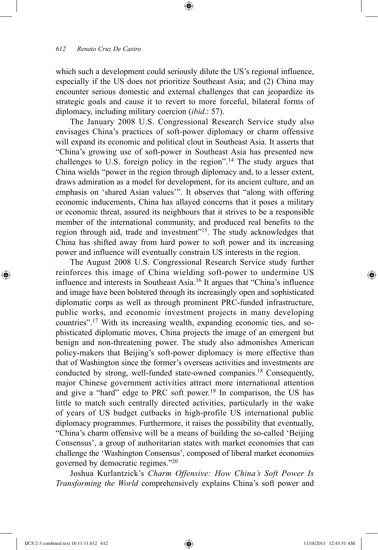which such a development could seriously dilute the US's regional influence, especially if the US does not prioritize Southeast Asia; and (2) China may encounter serious domestic and external challenges that can jeopardize its strategic goals and cause it to revert to more forceful, bilateral forms of diplomacy, including military coercion (*ibid*.: 57).

⊕

The January 2008 U.S. Congressional Research Service study also envisages China's practices of soft-power diplomacy or charm offensive will expand its economic and political clout in Southeast Asia. It asserts that "China's growing use of soft-power in Southeast Asia has presented new challenges to U.S. foreign policy in the region".<sup>14</sup> The study argues that China wields "power in the region through diplomacy and, to a lesser extent, draws admiration as a model for development, for its ancient culture, and an emphasis on 'shared Asian values'". It observes that "along with offering economic inducements, China has allayed concerns that it poses a military or economic threat, assured its neighbours that it strives to be a responsible member of the international community, and produced real benefits to the region through aid, trade and investment"<sup>15</sup>. The study acknowledges that China has shifted away from hard power to soft power and its increasing power and influence will eventually constrain US interests in the region.

The August 2008 U.S. Congressional Research Service study further reinforces this image of China wielding soft-power to undermine US influence and interests in Southeast Asia.16 It argues that "China's influence and image have been bolstered through its increasingly open and sophisticated diplomatic corps as well as through prominent PRC-funded infrastructure, public works, and economic investment projects in many developing countries".17 With its increasing wealth, expanding economic ties, and sophisticated diplomatic moves, China projects the image of an emergent but benign and non-threatening power. The study also admonishes American policy-makers that Beijing's soft-power diplomacy is more effective than that of Washington since the former's overseas activities and investments are conducted by strong, well-funded state-owned companies.18 Consequently, major Chinese government activities attract more international attention and give a "hard" edge to PRC soft power.<sup>19</sup> In comparison, the US has little to match such centrally directed activities, particularly in the wake of years of US budget cutbacks in high-profile US international public diplomacy programmes. Furthermore, it raises the possibility that eventually, "China's charm offensive will be a means of building the so-called 'Beijing Consensus', a group of authoritarian states with market economies that can challenge the 'Washington Consensus', composed of liberal market economies governed by democratic regimes."20

Joshua Kurlantzick's *Charm Offensive: How China's Soft Power Is Transforming the World* comprehensively explains China's soft power and

⊕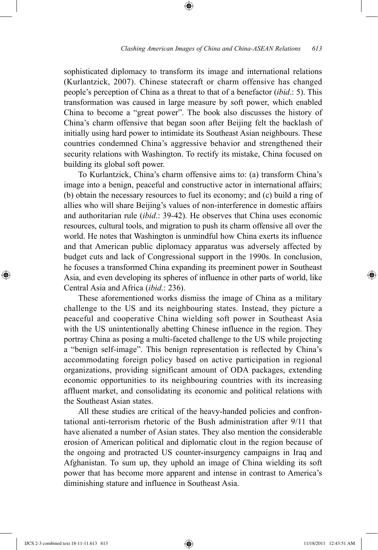sophisticated diplomacy to transform its image and international relations (Kurlantzick, 2007). Chinese statecraft or charm offensive has changed people's perception of China as a threat to that of a benefactor (*ibid*.: 5). This transformation was caused in large measure by soft power, which enabled China to become a "great power". The book also discusses the history of China's charm offensive that began soon after Beijing felt the backlash of initially using hard power to intimidate its Southeast Asian neighbours. These countries condemned China's aggressive behavior and strengthened their security relations with Washington. To rectify its mistake, China focused on building its global soft power.

⊕

To Kurlantzick, China's charm offensive aims to: (a) transform China's image into a benign, peaceful and constructive actor in international affairs; (b) obtain the necessary resources to fuel its economy; and (c) build a ring of allies who will share Beijing's values of non-interference in domestic affairs and authoritarian rule (*ibid*.: 39-42). He observes that China uses economic resources, cultural tools, and migration to push its charm offensive all over the world. He notes that Washington is unmindful how China exerts its influence and that American public diplomacy apparatus was adversely affected by budget cuts and lack of Congressional support in the 1990s. In conclusion, he focuses a transformed China expanding its preeminent power in Southeast Asia, and even developing its spheres of influence in other parts of world, like Central Asia and Africa (*ibid*.: 236).

These aforementioned works dismiss the image of China as a military challenge to the US and its neighbouring states. Instead, they picture a peaceful and cooperative China wielding soft power in Southeast Asia with the US unintentionally abetting Chinese influence in the region. They portray China as posing a multi-faceted challenge to the US while projecting a "benign self-image". This benign representation is reflected by China's accommodating foreign policy based on active participation in regional organizations, providing significant amount of ODA packages, extending economic opportunities to its neighbouring countries with its increasing affluent market, and consolidating its economic and political relations with the Southeast Asian states.

All these studies are critical of the heavy-handed policies and confrontational anti-terrorism rhetoric of the Bush administration after 9/11 that have alienated a number of Asian states. They also mention the considerable erosion of American political and diplomatic clout in the region because of the ongoing and protracted US counter-insurgency campaigns in Iraq and Afghanistan. To sum up, they uphold an image of China wielding its soft power that has become more apparent and intense in contrast to America's diminishing stature and influence in Southeast Asia.

IJCS 2-3 combined text 18-11-11.613 613 11/18/2011 12:43:51 AM

⊕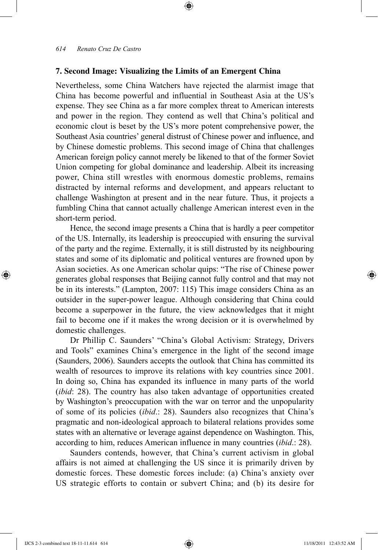#### **7. Second Image: Visualizing the Limits of an Emergent China**

Nevertheless, some China Watchers have rejected the alarmist image that China has become powerful and influential in Southeast Asia at the US's expense. They see China as a far more complex threat to American interests and power in the region. They contend as well that China's political and economic clout is beset by the US's more potent comprehensive power, the Southeast Asia countries' general distrust of Chinese power and influence, and by Chinese domestic problems. This second image of China that challenges American foreign policy cannot merely be likened to that of the former Soviet Union competing for global dominance and leadership. Albeit its increasing power, China still wrestles with enormous domestic problems, remains distracted by internal reforms and development, and appears reluctant to challenge Washington at present and in the near future. Thus, it projects a fumbling China that cannot actually challenge American interest even in the short-term period.

⊕

Hence, the second image presents a China that is hardly a peer competitor of the US. Internally, its leadership is preoccupied with ensuring the survival of the party and the regime. Externally, it is still distrusted by its neighbouring states and some of its diplomatic and political ventures are frowned upon by Asian societies. As one American scholar quips: "The rise of Chinese power generates global responses that Beijing cannot fully control and that may not be in its interests." (Lampton, 2007: 115) This image considers China as an outsider in the super-power league. Although considering that China could become a superpower in the future, the view acknowledges that it might fail to become one if it makes the wrong decision or it is overwhelmed by domestic challenges.

Dr Phillip C. Saunders' "China's Global Activism: Strategy, Drivers and Tools" examines China's emergence in the light of the second image (Saunders, 2006). Saunders accepts the outlook that China has committed its wealth of resources to improve its relations with key countries since 2001. In doing so, China has expanded its influence in many parts of the world (*ibid*: 28). The country has also taken advantage of opportunities created by Washington's preoccupation with the war on terror and the unpopularity of some of its policies (*ibid*.: 28). Saunders also recognizes that China's pragmatic and non-ideological approach to bilateral relations provides some states with an alternative or leverage against dependence on Washington. This, according to him, reduces American influence in many countries (*ibid*.: 28).

Saunders contends, however, that China's current activism in global affairs is not aimed at challenging the US since it is primarily driven by domestic forces. These domestic forces include: (a) China's anxiety over US strategic efforts to contain or subvert China; and (b) its desire for

⊕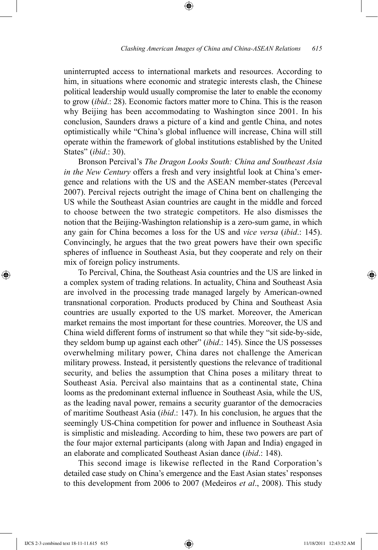uninterrupted access to international markets and resources. According to him, in situations where economic and strategic interests clash, the Chinese political leadership would usually compromise the later to enable the economy to grow (*ibid*.: 28). Economic factors matter more to China. This is the reason why Beijing has been accommodating to Washington since 2001. In his conclusion, Saunders draws a picture of a kind and gentle China, and notes optimistically while "China's global influence will increase, China will still operate within the framework of global institutions established by the United States" (*ibid*.: 30).

⊕

Bronson Percival's *The Dragon Looks South: China and Southeast Asia in the New Century* offers a fresh and very insightful look at China's emergence and relations with the US and the ASEAN member-states (Perceval 2007). Percival rejects outright the image of China bent on challenging the US while the Southeast Asian countries are caught in the middle and forced to choose between the two strategic competitors. He also dismisses the notion that the Beijing-Washington relationship is a zero-sum game, in which any gain for China becomes a loss for the US and *vice versa* (*ibid*.: 145). Convincingly, he argues that the two great powers have their own specific spheres of influence in Southeast Asia, but they cooperate and rely on their mix of foreign policy instruments.

To Percival, China, the Southeast Asia countries and the US are linked in a complex system of trading relations. In actuality, China and Southeast Asia are involved in the processing trade managed largely by American-owned transnational corporation. Products produced by China and Southeast Asia countries are usually exported to the US market. Moreover, the American market remains the most important for these countries. Moreover, the US and China wield different forms of instrument so that while they "sit side-by-side, they seldom bump up against each other" (*ibid*.: 145). Since the US possesses overwhelming military power, China dares not challenge the American military prowess. Instead, it persistently questions the relevance of traditional security, and belies the assumption that China poses a military threat to Southeast Asia. Percival also maintains that as a continental state, China looms as the predominant external influence in Southeast Asia, while the US, as the leading naval power, remains a security guarantor of the democracies of maritime Southeast Asia (*ibid*.: 147). In his conclusion, he argues that the seemingly US-China competition for power and influence in Southeast Asia is simplistic and misleading. According to him, these two powers are part of the four major external participants (along with Japan and India) engaged in an elaborate and complicated Southeast Asian dance (*ibid*.: 148).

This second image is likewise reflected in the Rand Corporation's detailed case study on China's emergence and the East Asian states' responses to this development from 2006 to 2007 (Medeiros *et al*., 2008). This study

IJCS 2-3 combined text 18-11-11.615 615 11/18/2011 12:43:52 AM

⊕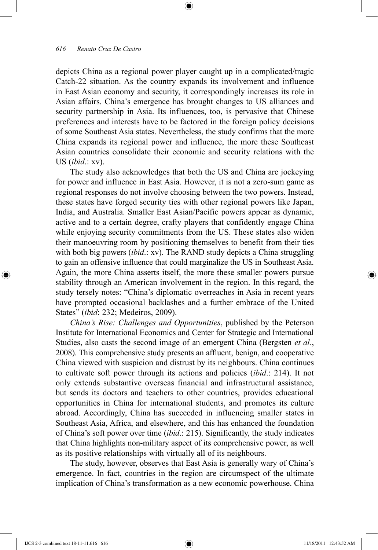depicts China as a regional power player caught up in a complicated/tragic Catch-22 situation. As the country expands its involvement and influence in East Asian economy and security, it correspondingly increases its role in Asian affairs. China's emergence has brought changes to US alliances and security partnership in Asia. Its influences, too, is pervasive that Chinese preferences and interests have to be factored in the foreign policy decisions of some Southeast Asia states. Nevertheless, the study confirms that the more China expands its regional power and influence, the more these Southeast Asian countries consolidate their economic and security relations with the US (*ibid*.: xv).

⊕

The study also acknowledges that both the US and China are jockeying for power and influence in East Asia. However, it is not a zero-sum game as regional responses do not involve choosing between the two powers. Instead, these states have forged security ties with other regional powers like Japan, India, and Australia. Smaller East Asian/Pacific powers appear as dynamic, active and to a certain degree, crafty players that confidently engage China while enjoying security commitments from the US. These states also widen their manoeuvring room by positioning themselves to benefit from their ties with both big powers (*ibid*.: xv). The RAND study depicts a China struggling to gain an offensive influence that could marginalize the US in Southeast Asia. Again, the more China asserts itself, the more these smaller powers pursue stability through an American involvement in the region. In this regard, the study tersely notes: "China's diplomatic overreaches in Asia in recent years have prompted occasional backlashes and a further embrace of the United States" (*ibid*: 232; Medeiros, 2009).

*China's Rise: Challenges and Opportunities*, published by the Peterson Institute for International Economics and Center for Strategic and International Studies, also casts the second image of an emergent China (Bergsten *et al*., 2008). This comprehensive study presents an affluent, benign, and cooperative China viewed with suspicion and distrust by its neighbours. China continues to cultivate soft power through its actions and policies (*ibid*.: 214). It not only extends substantive overseas financial and infrastructural assistance, but sends its doctors and teachers to other countries, provides educational opportunities in China for international students, and promotes its culture abroad. Accordingly, China has succeeded in influencing smaller states in Southeast Asia, Africa, and elsewhere, and this has enhanced the foundation of China's soft power over time (*ibid*.: 215). Significantly, the study indicates that China highlights non-military aspect of its comprehensive power, as well as its positive relationships with virtually all of its neighbours.

The study, however, observes that East Asia is generally wary of China's emergence. In fact, countries in the region are circumspect of the ultimate implication of China's transformation as a new economic powerhouse. China

⊕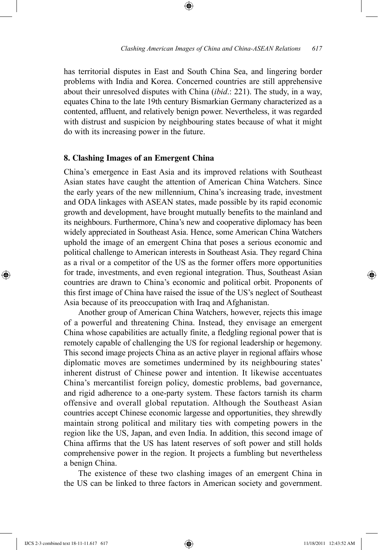has territorial disputes in East and South China Sea, and lingering border problems with India and Korea. Concerned countries are still apprehensive about their unresolved disputes with China (*ibid*.: 221). The study, in a way, equates China to the late 19th century Bismarkian Germany characterized as a contented, affluent, and relatively benign power. Nevertheless, it was regarded with distrust and suspicion by neighbouring states because of what it might do with its increasing power in the future.

⊕

## **8. Clashing Images of an Emergent China**

China's emergence in East Asia and its improved relations with Southeast Asian states have caught the attention of American China Watchers. Since the early years of the new millennium, China's increasing trade, investment and ODA linkages with ASEAN states, made possible by its rapid economic growth and development, have brought mutually benefits to the mainland and its neighbours. Furthermore, China's new and cooperative diplomacy has been widely appreciated in Southeast Asia. Hence, some American China Watchers uphold the image of an emergent China that poses a serious economic and political challenge to American interests in Southeast Asia. They regard China as a rival or a competitor of the US as the former offers more opportunities for trade, investments, and even regional integration. Thus, Southeast Asian countries are drawn to China's economic and political orbit. Proponents of this first image of China have raised the issue of the US's neglect of Southeast Asia because of its preoccupation with Iraq and Afghanistan.

Another group of American China Watchers, however, rejects this image of a powerful and threatening China. Instead, they envisage an emergent China whose capabilities are actually finite, a fledgling regional power that is remotely capable of challenging the US for regional leadership or hegemony. This second image projects China as an active player in regional affairs whose diplomatic moves are sometimes undermined by its neighbouring states' inherent distrust of Chinese power and intention. It likewise accentuates China's mercantilist foreign policy, domestic problems, bad governance, and rigid adherence to a one-party system. These factors tarnish its charm offensive and overall global reputation. Although the Southeast Asian countries accept Chinese economic largesse and opportunities, they shrewdly maintain strong political and military ties with competing powers in the region like the US, Japan, and even India. In addition, this second image of China affirms that the US has latent reserves of soft power and still holds comprehensive power in the region. It projects a fumbling but nevertheless a benign China.

The existence of these two clashing images of an emergent China in the US can be linked to three factors in American society and government.

IJCS 2-3 combined text 18-11-11.617 617 11/18/2011 12:43:52 AM

⊕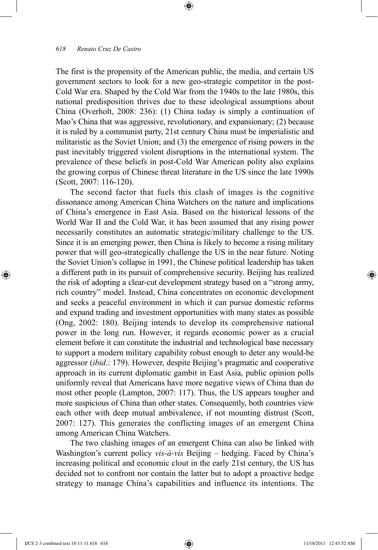The first is the propensity of the American public, the media, and certain US government sectors to look for a new geo-strategic competitor in the post-Cold War era. Shaped by the Cold War from the 1940s to the late 1980s, this national predisposition thrives due to these ideological assumptions about China (Overholt, 2008: 236): (1) China today is simply a continuation of Mao's China that was aggressive, revolutionary, and expansionary; (2) because it is ruled by a communist party, 21st century China must be imperialistic and militaristic as the Soviet Union; and (3) the emergence of rising powers in the past inevitably triggered violent disruptions in the international system. The prevalence of these beliefs in post-Cold War American polity also explains the growing corpus of Chinese threat literature in the US since the late 1990s (Scott, 2007: 116-120).

⊕

The second factor that fuels this clash of images is the cognitive dissonance among American China Watchers on the nature and implications of China's emergence in East Asia. Based on the historical lessons of the World War II and the Cold War, it has been assumed that any rising power necessarily constitutes an automatic strategic/military challenge to the US. Since it is an emerging power, then China is likely to become a rising military power that will geo-strategically challenge the US in the near future. Noting the Soviet Union's collapse in 1991, the Chinese political leadership has taken a different path in its pursuit of comprehensive security. Beijing has realized the risk of adopting a clear-cut development strategy based on a "strong army, rich country" model. Instead, China concentrates on economic development and seeks a peaceful environment in which it can pursue domestic reforms and expand trading and investment opportunities with many states as possible (Ong, 2002: 180). Beijing intends to develop its comprehensive national power in the long run. However, it regards economic power as a crucial element before it can constitute the industrial and technological base necessary to support a modern military capability robust enough to deter any would-be aggressor (*ibid*.: 179). However, despite Beijing's pragmatic and cooperative approach in its current diplomatic gambit in East Asia, public opinion polls uniformly reveal that Americans have more negative views of China than do most other people (Lampton, 2007: 117). Thus, the US appears tougher and more suspicious of China than other states. Consequently, both countries view each other with deep mutual ambivalence, if not mounting distrust (Scott, 2007: 127). This generates the conflicting images of an emergent China among American China Watchers.

The two clashing images of an emergent China can also be linked with Washington's current policy *vis-à-vis* Beijing – hedging. Faced by China's increasing political and economic clout in the early 21st century, the US has decided not to confront nor contain the latter but to adopt a proactive hedge strategy to manage China's capabilities and influence its intentions. The

⊕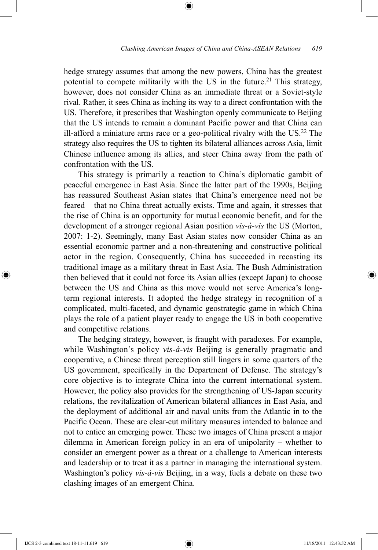hedge strategy assumes that among the new powers, China has the greatest potential to compete militarily with the US in the future.<sup>21</sup> This strategy, however, does not consider China as an immediate threat or a Soviet-style rival. Rather, it sees China as inching its way to a direct confrontation with the US. Therefore, it prescribes that Washington openly communicate to Beijing that the US intends to remain a dominant Pacific power and that China can ill-afford a miniature arms race or a geo-political rivalry with the  $US^{22}$  The strategy also requires the US to tighten its bilateral alliances across Asia, limit Chinese influence among its allies, and steer China away from the path of confrontation with the US.

⊕

This strategy is primarily a reaction to China's diplomatic gambit of peaceful emergence in East Asia. Since the latter part of the 1990s, Beijing has reassured Southeast Asian states that China's emergence need not be feared – that no China threat actually exists. Time and again, it stresses that the rise of China is an opportunity for mutual economic benefit, and for the development of a stronger regional Asian position *vis-à-vis* the US (Morton, 2007: 1-2). Seemingly, many East Asian states now consider China as an essential economic partner and a non-threatening and constructive political actor in the region. Consequently, China has succeeded in recasting its traditional image as a military threat in East Asia. The Bush Administration then believed that it could not force its Asian allies (except Japan) to choose between the US and China as this move would not serve America's longterm regional interests. It adopted the hedge strategy in recognition of a complicated, multi-faceted, and dynamic geostrategic game in which China plays the role of a patient player ready to engage the US in both cooperative and competitive relations.

The hedging strategy, however, is fraught with paradoxes. For example, while Washington's policy *vis-à-vis* Beijing is generally pragmatic and cooperative, a Chinese threat perception still lingers in some quarters of the US government, specifically in the Department of Defense. The strategy's core objective is to integrate China into the current international system. However, the policy also provides for the strengthening of US-Japan security relations, the revitalization of American bilateral alliances in East Asia, and the deployment of additional air and naval units from the Atlantic in to the Pacific Ocean. These are clear-cut military measures intended to balance and not to entice an emerging power. These two images of China present a major dilemma in American foreign policy in an era of unipolarity – whether to consider an emergent power as a threat or a challenge to American interests and leadership or to treat it as a partner in managing the international system. Washington's policy *vis-à-vis* Beijing, in a way, fuels a debate on these two clashing images of an emergent China.

⊕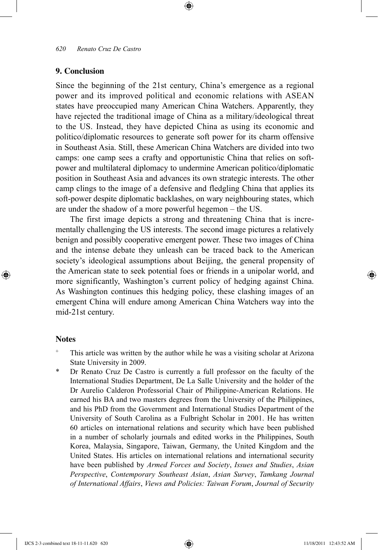# **9. Conclusion**

Since the beginning of the 21st century, China's emergence as a regional power and its improved political and economic relations with ASEAN states have preoccupied many American China Watchers. Apparently, they have rejected the traditional image of China as a military/ideological threat to the US. Instead, they have depicted China as using its economic and politico/diplomatic resources to generate soft power for its charm offensive in Southeast Asia. Still, these American China Watchers are divided into two camps: one camp sees a crafty and opportunistic China that relies on softpower and multilateral diplomacy to undermine American politico/diplomatic position in Southeast Asia and advances its own strategic interests. The other camp clings to the image of a defensive and fledgling China that applies its soft-power despite diplomatic backlashes, on wary neighbouring states, which are under the shadow of a more powerful hegemon – the US.

⊕

The first image depicts a strong and threatening China that is incrementally challenging the US interests. The second image pictures a relatively benign and possibly cooperative emergent power. These two images of China and the intense debate they unleash can be traced back to the American society's ideological assumptions about Beijing, the general propensity of the American state to seek potential foes or friends in a unipolar world, and more significantly, Washington's current policy of hedging against China. As Washington continues this hedging policy, these clashing images of an emergent China will endure among American China Watchers way into the mid-21st century.

## **Notes**

⊕

- This article was written by the author while he was a visiting scholar at Arizona State University in 2009.
- \* Dr Renato Cruz De Castro is currently a full professor on the faculty of the International Studies Department, De La Salle University and the holder of the Dr Aurelio Calderon Professorial Chair of Philippine-American Relations. He earned his BA and two masters degrees from the University of the Philippines, and his PhD from the Government and International Studies Department of the University of South Carolina as a Fulbright Scholar in 2001. He has written 60 articles on international relations and security which have been published in a number of scholarly journals and edited works in the Philippines, South Korea, Malaysia, Singapore, Taiwan, Germany, the United Kingdom and the United States. His articles on international relations and international security have been published by *Armed Forces and Society*, *Issues and Studies*, *Asian Perspective*, *Contemporary Southeast Asian*, *Asian Survey*, *Tamkang Journal of International Affairs*, *Views and Policies: Taiwan Forum*, *Journal of Security*

IJCS 2-3 combined text 18-11-11.620 620 11/18/2011 12:43:52 AM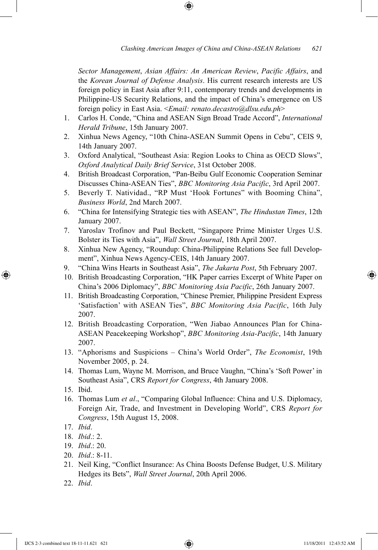*Sector Management*, *Asian Affairs: An American Review*, *Pacific Affairs*, and the *Korean Journal of Defense Analysis*. His current research interests are US foreign policy in East Asia after 9:11, contemporary trends and developments in Philippine-US Security Relations, and the impact of China's emergence on US foreign policy in East Asia. <*Email: renato.decastro@dlsu.edu.ph*>

1. Carlos H. Conde, "China and ASEAN Sign Broad Trade Accord", *International Herald Tribune*, 15th January 2007.

↔

- 2. Xinhua News Agency, "10th China-ASEAN Summit Opens in Cebu", CEIS 9, 14th January 2007.
- 3. Oxford Analytical, "Southeast Asia: Region Looks to China as OECD Slows", *Oxford Analytical Daily Brief Service*, 31st October 2008.
- 4. British Broadcast Corporation, "Pan-Beibu Gulf Economic Cooperation Seminar Discusses China-ASEAN Ties", *BBC Monitoring Asia Pacific*, 3rd April 2007.
- 5. Beverly T. Natividad., "RP Must 'Hook Fortunes" with Booming China", *Business World*, 2nd March 2007.
- 6. "China for Intensifying Strategic ties with ASEAN", *The Hindustan Times*, 12th January 2007.
- 7. Yaroslav Trofinov and Paul Beckett, "Singapore Prime Minister Urges U.S. Bolster its Ties with Asia", *Wall Street Journal*, 18th April 2007.
- 8. Xinhua New Agency, "Roundup: China-Philippine Relations See full Development", Xinhua News Agency-CEIS, 14th January 2007.
- 9. "China Wins Hearts in Southeast Asia", *The Jakarta Post*, 5th February 2007.
- 10. British Broadcasting Corporation, "HK Paper carries Excerpt of White Paper on China's 2006 Diplomacy", *BBC Monitoring Asia Pacific*, 26th January 2007.
- 11. British Broadcasting Corporation, "Chinese Premier, Philippine President Express 'Satisfaction' with ASEAN Ties", *BBC Monitoring Asia Pacific*, 16th July 2007.
- 12. British Broadcasting Corporation, "Wen Jiabao Announces Plan for China-ASEAN Peacekeeping Workshop", *BBC Monitoring Asia-Pacific*, 14th January 2007.
- 13. "Aphorisms and Suspicions China's World Order", *The Economist*, 19th November 2005, p. 24.
- 14. Thomas Lum, Wayne M. Morrison, and Bruce Vaughn, "China's 'Soft Power' in Southeast Asia", CRS *Report for Congress*, 4th January 2008.
- 15. Ibid.

⊕

- 16. Thomas Lum *et al*., "Comparing Global Influence: China and U.S. Diplomacy, Foreign Air, Trade, and Investment in Developing World", CRS *Report for Congress*, 15th August 15, 2008.
- 17. *Ibid*.
- 18. *Ibid*.: 2.
- 19. *Ibid*.: 20.
- 20. *Ibid*.: 8-11.
- 21. Neil King, "Conflict Insurance: As China Boosts Defense Budget, U.S. Military Hedges its Bets", *Wall Street Journal*, 20th April 2006.
- 22. *Ibid*.

IJCS 2-3 combined text 18-11-11.621 621 11/18/2011 12:43:52 AM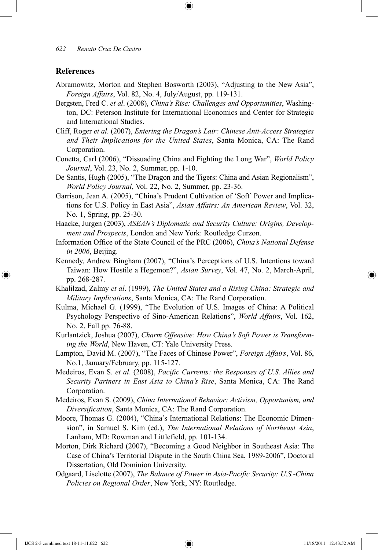#### **References**

⊕

- Abramowitz, Morton and Stephen Bosworth (2003), "Adjusting to the New Asia", *Foreign Affairs*, Vol. 82, No. 4, July/August, pp. 119-131.
- Bergsten, Fred C. *et al*. (2008), *China's Rise: Challenges and Opportunities*, Washington, DC: Peterson Institute for International Economics and Center for Strategic and International Studies.
- Cliff, Roger *et al*. (2007), *Entering the Dragon's Lair: Chinese Anti-Access Strategies and Their Implications for the United States*, Santa Monica, CA: The Rand Corporation.
- Conetta, Carl (2006), "Dissuading China and Fighting the Long War", *World Policy Journal*, Vol. 23, No. 2, Summer, pp. 1-10.
- De Santis, Hugh (2005), "The Dragon and the Tigers: China and Asian Regionalism", *World Policy Journal*, Vol. 22, No. 2, Summer, pp. 23-36.
- Garrison, Jean A. (2005), "China's Prudent Cultivation of 'Soft' Power and Implications for U.S. Policy in East Asia", *Asian Affairs: An American Review*, Vol. 32, No. 1, Spring, pp. 25-30.
- Haacke, Jurgen (2003), *ASEAN's Diplomatic and Security Culture: Origins, Development and Prospects*, London and New York: Routledge Curzon.
- Information Office of the State Council of the PRC (2006), *China's National Defense in 2006*, Beijing.
- Kennedy, Andrew Bingham (2007), "China's Perceptions of U.S. Intentions toward Taiwan: How Hostile a Hegemon?", *Asian Survey*, Vol. 47, No. 2, March-April, pp. 268-287.
- Khalilzad, Zalmy *et al*. (1999), *The United States and a Rising China: Strategic and Military Implications*, Santa Monica, CA: The Rand Corporation.
- Kulma, Michael G. (1999), "The Evolution of U.S. Images of China: A Political Psychology Perspective of Sino-American Relations", *World Affairs*, Vol. 162, No. 2, Fall pp. 76-88.
- Kurlantzick, Joshua (2007), *Charm Offensive: How China's Soft Power is Transforming the World*, New Haven, CT: Yale University Press.
- Lampton, David M. (2007), "The Faces of Chinese Power", *Foreign Affairs*, Vol. 86, No.1, January/February, pp. 115-127.
- Medeiros, Evan S. *et al*. (2008), *Pacific Currents: the Responses of U.S. Allies and Security Partners in East Asia to China's Rise*, Santa Monica, CA: The Rand Corporation.
- Medeiros, Evan S. (2009), *China International Behavior: Activism, Opportunism, and Diversification*, Santa Monica, CA: The Rand Corporation.
- Moore, Thomas G. (2004), "China's International Relations: The Economic Dimension", in Samuel S. Kim (ed.), *The International Relations of Northeast Asia*, Lanham, MD: Rowman and Littlefield, pp. 101-134.
- Morton, Dirk Richard (2007), "Becoming a Good Neighbor in Southeast Asia: The Case of China's Territorial Dispute in the South China Sea, 1989-2006", Doctoral Dissertation, Old Dominion University.
- Odgaard, Liselotte (2007), *The Balance of Power in Asia-Pacific Security: U.S.-China Policies on Regional Order*, New York, NY: Routledge.

↔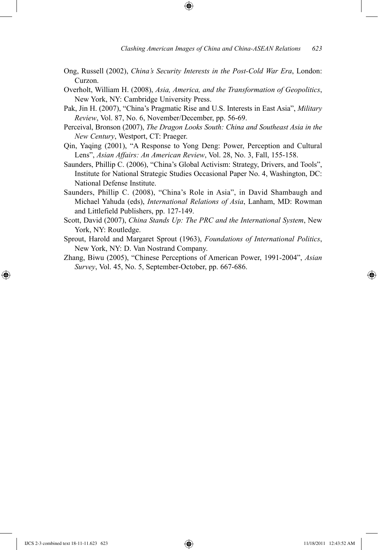Ong, Russell (2002), *China's Security Interests in the Post-Cold War Era*, London: Curzon.

⊕

- Overholt, William H. (2008), *Asia, America, and the Transformation of Geopolitics*, New York, NY: Cambridge University Press.
- Pak, Jin H. (2007), "China's Pragmatic Rise and U.S. Interests in East Asia", *Military Review*, Vol. 87, No. 6, November/December, pp. 56-69.
- Perceival, Bronson (2007), *The Dragon Looks South: China and Southeast Asia in the New Century*, Westport, CT: Praeger.
- Qin, Yaqing (2001), "A Response to Yong Deng: Power, Perception and Cultural Lens", *Asian Affairs: An American Review*, Vol. 28, No. 3, Fall, 155-158.
- Saunders, Phillip C. (2006), "China's Global Activism: Strategy, Drivers, and Tools", Institute for National Strategic Studies Occasional Paper No. 4, Washington, DC: National Defense Institute.
- Saunders, Phillip C. (2008), "China's Role in Asia", in David Shambaugh and Michael Yahuda (eds), *International Relations of Asia*, Lanham, MD: Rowman and Littlefield Publishers, pp. 127-149.
- Scott, David (2007), *China Stands Up: The PRC and the International System*, New York, NY: Routledge.
- Sprout, Harold and Margaret Sprout (1963), *Foundations of International Politics*, New York, NY: D. Van Nostrand Company.
- Zhang, Biwu (2005), "Chinese Perceptions of American Power, 1991-2004", *Asian Survey*, Vol. 45, No. 5, September-October, pp. 667-686.

⊕

↔